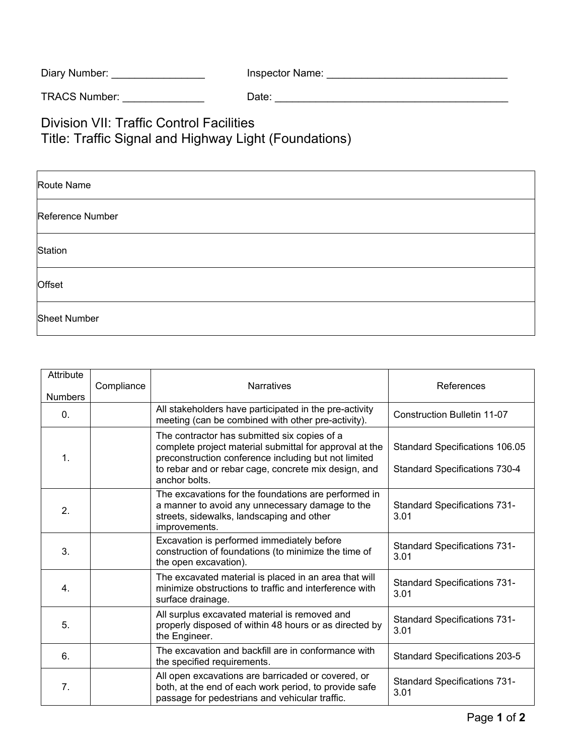| Inspector Name: |
|-----------------|
|                 |

TRACS Number: \_\_\_\_\_\_\_\_\_\_\_\_\_\_ Date: \_\_\_\_\_\_\_\_\_\_\_\_\_\_\_\_\_\_\_\_\_\_\_\_\_\_\_\_\_\_\_\_\_\_\_\_\_\_\_\_

Division VII: Traffic Control Facilities Title: Traffic Signal and Highway Light (Foundations)

| Route Name          |
|---------------------|
| Reference Number    |
| Station             |
| Offset              |
| <b>Sheet Number</b> |

| Attribute<br><b>Numbers</b> | Compliance | <b>Narratives</b>                                                                                                                                                                                                                        | References                                                             |
|-----------------------------|------------|------------------------------------------------------------------------------------------------------------------------------------------------------------------------------------------------------------------------------------------|------------------------------------------------------------------------|
| 0.                          |            | All stakeholders have participated in the pre-activity<br>meeting (can be combined with other pre-activity).                                                                                                                             | <b>Construction Bulletin 11-07</b>                                     |
| $\mathbf{1}$ .              |            | The contractor has submitted six copies of a<br>complete project material submittal for approval at the<br>preconstruction conference including but not limited<br>to rebar and or rebar cage, concrete mix design, and<br>anchor bolts. | Standard Specifications 106.05<br><b>Standard Specifications 730-4</b> |
| 2.                          |            | The excavations for the foundations are performed in<br>a manner to avoid any unnecessary damage to the<br>streets, sidewalks, landscaping and other<br>improvements.                                                                    | <b>Standard Specifications 731-</b><br>3.01                            |
| 3.                          |            | Excavation is performed immediately before<br>construction of foundations (to minimize the time of<br>the open excavation).                                                                                                              | <b>Standard Specifications 731-</b><br>3.01                            |
| 4.                          |            | The excavated material is placed in an area that will<br>minimize obstructions to traffic and interference with<br>surface drainage.                                                                                                     | <b>Standard Specifications 731-</b><br>3.01                            |
| 5.                          |            | All surplus excavated material is removed and<br>properly disposed of within 48 hours or as directed by<br>the Engineer.                                                                                                                 | <b>Standard Specifications 731-</b><br>3.01                            |
| 6.                          |            | The excavation and backfill are in conformance with<br>the specified requirements.                                                                                                                                                       | <b>Standard Specifications 203-5</b>                                   |
| 7.                          |            | All open excavations are barricaded or covered, or<br>both, at the end of each work period, to provide safe<br>passage for pedestrians and vehicular traffic.                                                                            | <b>Standard Specifications 731-</b><br>3.01                            |